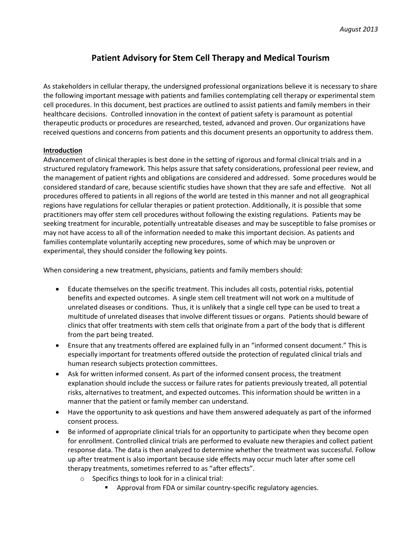## **Patient Advisory for Stem Cell Therapy and Medical Tourism**

As stakeholders in cellular therapy, the undersigned professional organizations believe it is necessary to share the following important message with patients and families contemplating cell therapy or experimental stem cell procedures. In this document, best practices are outlined to assist patients and family members in their healthcare decisions. Controlled innovation in the context of patient safety is paramount as potential therapeutic products or procedures are researched, tested, advanced and proven. Our organizations have received questions and concerns from patients and this document presents an opportunity to address them.

## **Introduction**

Advancement of clinical therapies is best done in the setting of rigorous and formal clinical trials and in a structured regulatory framework. This helps assure that safety considerations, professional peer review, and the management of patient rights and obligations are considered and addressed. Some procedures would be considered standard of care, because scientific studies have shown that they are safe and effective. Not all procedures offered to patients in all regions of the world are tested in this manner and not all geographical regions have regulations for cellular therapies or patient protection. Additionally, it is possible that some practitioners may offer stem cell procedures without following the existing regulations. Patients may be seeking treatment for incurable, potentially untreatable diseases and may be susceptible to false promises or may not have access to all of the information needed to make this important decision. As patients and families contemplate voluntarily accepting new procedures, some of which may be unproven or experimental, they should consider the following key points.

When considering a new treatment, physicians, patients and family members should:

- Educate themselves on the specific treatment. This includes all costs, potential risks, potential benefits and expected outcomes. A single stem cell treatment will not work on a multitude of unrelated diseases or conditions. Thus, it is unlikely that a single cell type can be used to treat a multitude of unrelated diseases that involve different tissues or organs. Patients should beware of clinics that offer treatments with stem cells that originate from a part of the body that is different from the part being treated.
- Ensure that any treatments offered are explained fully in an "informed consent document." This is especially important for treatments offered outside the protection of regulated clinical trials and human research subjects protection committees.
- Ask for written informed consent. As part of the informed consent process, the treatment explanation should include the success or failure rates for patients previously treated, all potential risks, alternatives to treatment, and expected outcomes. This information should be written in a manner that the patient or family member can understand.
- Have the opportunity to ask questions and have them answered adequately as part of the informed consent process.
- Be informed of appropriate clinical trials for an opportunity to participate when they become open for enrollment. Controlled clinical trials are performed to evaluate new therapies and collect patient response data. The data is then analyzed to determine whether the treatment was successful. Follow up after treatment is also important because side effects may occur much later after some cell therapy treatments, sometimes referred to as "after effects".
	- o Specifics things to look for in a clinical trial:
		- Approval from FDA or similar country-specific regulatory agencies.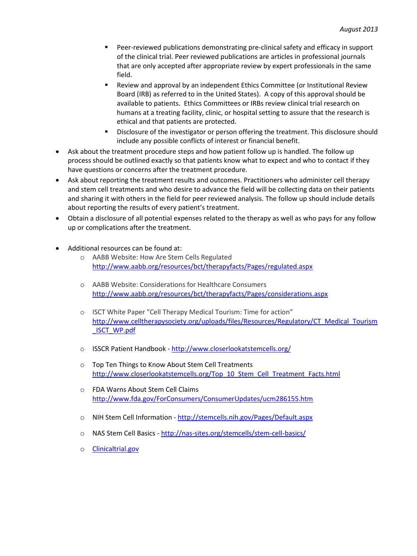- Peer-reviewed publications demonstrating pre-clinical safety and efficacy in support of the clinical trial. Peer reviewed publications are articles in professional journals that are only accepted after appropriate review by expert professionals in the same field.
- Review and approval by an independent Ethics Committee (or Institutional Review Board (IRB) as referred to in the United States). A copy of this approval should be available to patients. Ethics Committees or IRBs review clinical trial research on humans at a treating facility, clinic, or hospital setting to assure that the research is ethical and that patients are protected.
- Disclosure of the investigator or person offering the treatment. This disclosure should include any possible conflicts of interest or financial benefit.
- Ask about the treatment procedure steps and how patient follow up is handled. The follow up process should be outlined exactly so that patients know what to expect and who to contact if they have questions or concerns after the treatment procedure.
- Ask about reporting the treatment results and outcomes. Practitioners who administer cell therapy and stem cell treatments and who desire to advance the field will be collecting data on their patients and sharing it with others in the field for peer reviewed analysis. The follow up should include details about reporting the results of every patient's treatment.
- Obtain a disclosure of all potential expenses related to the therapy as well as who pays for any follow up or complications after the treatment.
- Additional resources can be found at:
	- o AABB Website: How Are Stem Cells Regulated <http://www.aabb.org/resources/bct/therapyfacts/Pages/regulated.aspx>
	- o AABB Website: Considerations for Healthcare Consumers <http://www.aabb.org/resources/bct/therapyfacts/Pages/considerations.aspx>
	- o ISCT White Paper "Cell Therapy Medical Tourism: Time for action" [http://www.celltherapysociety.org/uploads/files/Resources/Regulatory/CT\\_Medical\\_Tourism](http://www.celltherapysociety.org/uploads/files/Resources/Regulatory/CT_Medical_Tourism_ISCT_WP.pdf) [\\_ISCT\\_WP.pdf](http://www.celltherapysociety.org/uploads/files/Resources/Regulatory/CT_Medical_Tourism_ISCT_WP.pdf)
	- o ISSCR Patient Handbook <http://www.closerlookatstemcells.org/>
	- o Top Ten Things to Know About Stem Cell Treatments [http://www.closerlookatstemcells.org/Top\\_10\\_Stem\\_Cell\\_Treatment\\_Facts.html](http://www.closerlookatstemcells.org/Top_10_Stem_Cell_Treatment_Facts.html)
	- o FDA Warns About Stem Cell Claims <http://www.fda.gov/ForConsumers/ConsumerUpdates/ucm286155.htm>
	- o NIH Stem Cell Information <http://stemcells.nih.gov/Pages/Default.aspx>
	- o NAS Stem Cell Basics <http://nas-sites.org/stemcells/stem-cell-basics/>
	- o **[Clinicaltrial.gov](http://clinicaltrial.gov/)**